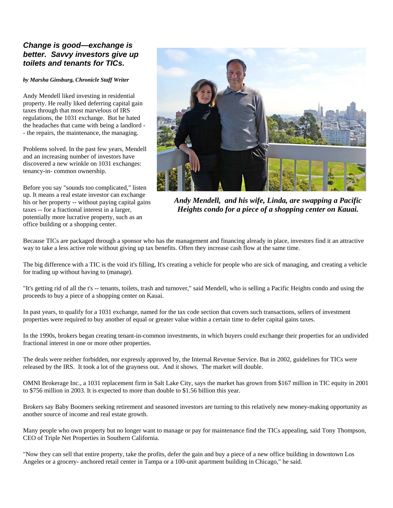## *Change is good—exchange is better. Savvy investors give up toilets and tenants for TICs.*

*by Marsha Ginsburg, Chronicle Staff Writer*

Andy Mendell liked investing in residential property. He really liked deferring capital gain taxes through that most marvelous of IRS regulations, the 1031 exchange. But he hated the headaches that came with being a landlord - - the repairs, the maintenance, the managing.

Problems solved. In the past few years, Mendell and an increasing number of investors have discovered a new wrinkle on 1031 exchanges: tenancy-in- common ownership.

Before you say "sounds too complicated," listen up. It means a real estate investor can exchange his or her property -- without paying capital gains taxes -- for a fractional interest in a larger, potentially more lucrative property, such as an office building or a shopping center.



*Andy Mendell, and his wife, Linda, are swapping a Pacific Heights condo for a piece of a shopping center on Kauai.* 

Because TICs are packaged through a sponsor who has the management and financing already in place, investors find it an attractive way to take a less active role without giving up tax benefits. Often they increase cash flow at the same time.

The big difference with a TIC is the void it's filling, It's creating a vehicle for people who are sick of managing, and creating a vehicle for trading up without having to (manage).

"It's getting rid of all the t's -- tenants, toilets, trash and turnover," said Mendell, who is selling a Pacific Heights condo and using the proceeds to buy a piece of a shopping center on Kauai.

In past years, to qualify for a 1031 exchange, named for the tax code section that covers such transactions, sellers of investment properties were required to buy another of equal or greater value within a certain time to defer capital gains taxes.

In the 1990s, brokers began creating tenant-in-common investments, in which buyers could exchange their properties for an undivided fractional interest in one or more other properties.

The deals were neither forbidden, nor expressly approved by, the Internal Revenue Service. But in 2002, guidelines for TICs were released by the IRS. It took a lot of the grayness out. And it shows. The market will double.

OMNI Brokerage Inc., a 1031 replacement firm in Salt Lake City, says the market has grown from \$167 million in TIC equity in 2001 to \$756 million in 2003. It is expected to more than double to \$1.56 billion this year.

Brokers say Baby Boomers seeking retirement and seasoned investors are turning to this relatively new money-making opportunity as another source of income and real estate growth.

Many people who own property but no longer want to manage or pay for maintenance find the TICs appealing, said Tony Thompson, CEO of Triple Net Properties in Southern California.

"Now they can sell that entire property, take the profits, defer the gain and buy a piece of a new office building in downtown Los Angeles or a grocery- anchored retail center in Tampa or a 100-unit apartment building in Chicago," he said.